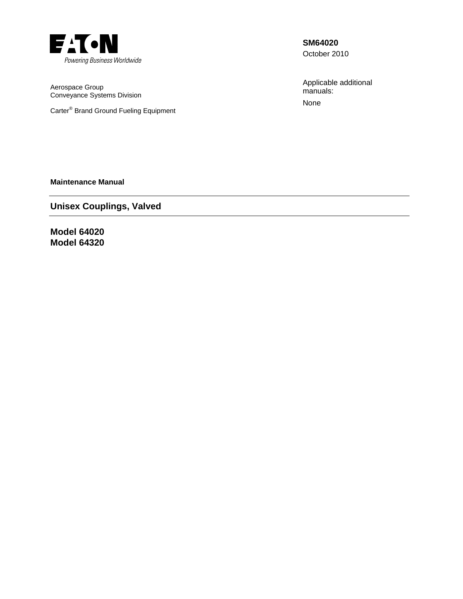

Aerospace Group Conveyance Systems Division

Carter® Brand Ground Fueling Equipment

**SM64020** 

October 2010

Applicable additional manuals: None

**Maintenance Manual** 

**Unisex Couplings, Valved** 

**Model 64020 Model 64320**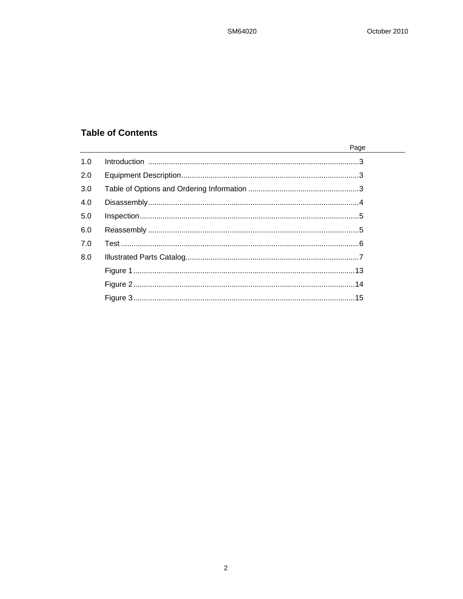$\overline{\phantom{0}}$ 

# **Table of Contents**

|     | Page |
|-----|------|
| 1.0 |      |
| 2.0 |      |
| 3.0 |      |
| 4.0 |      |
| 5.0 |      |
| 6.0 |      |
| 7.0 |      |
| 8.0 |      |
|     |      |
|     |      |
|     |      |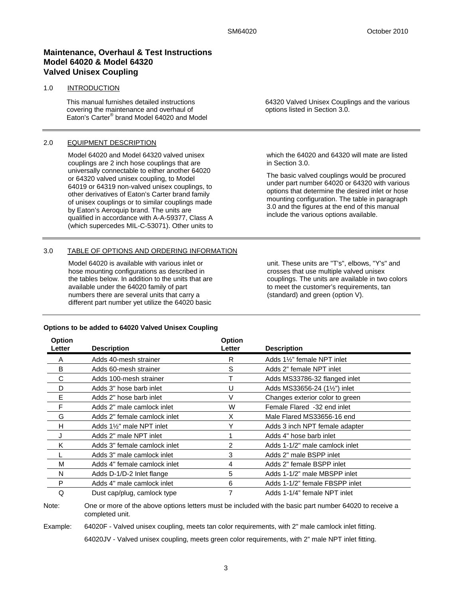## **Maintenance, Overhaul & Test Instructions Model 64020 & Model 64320 Valved Unisex Coupling**

#### 1.0 INTRODUCTION

This manual furnishes detailed instructions covering the maintenance and overhaul of Eaton's Carter® brand Model 64020 and Model

### 2.0 EQUIPMENT DESCRIPTION

Model 64020 and Model 64320 valved unisex couplings are 2 inch hose couplings that are universally connectable to either another 64020 or 64320 valved unisex coupling, to Model 64019 or 64319 non-valved unisex couplings, to other derivatives of Eaton's Carter brand family of unisex couplings or to similar couplings made by Eaton's Aeroquip brand. The units are qualified in accordance with A-A-59377, Class A (which supercedes MIL-C-53071). Other units to

### 3.0 TABLE OF OPTIONS AND ORDERING INFORMATION

Model 64020 is available with various inlet or hose mounting configurations as described in the tables below. In addition to the units that are available under the 64020 family of part numbers there are several units that carry a different part number yet utilize the 64020 basic

64320 Valved Unisex Couplings and the various options listed in Section 3.0.

which the 64020 and 64320 will mate are listed in Section 3.0.

The basic valved couplings would be procured under part number 64020 or 64320 with various options that determine the desired inlet or hose mounting configuration. The table in paragraph 3.0 and the figures at the end of this manual include the various options available.

unit. These units are "T's", elbows, "Y's" and crosses that use multiple valved unisex couplings. The units are available in two colors to meet the customer's requirements, tan (standard) and green (option V).

#### **Options to be added to 64020 Valved Unisex Coupling**

| <b>Option</b><br>Letter | <b>Description</b>           | <b>Option</b><br>Letter | <b>Description</b>                      |
|-------------------------|------------------------------|-------------------------|-----------------------------------------|
| A                       | Adds 40-mesh strainer        | R                       | Adds 1 <sup>1/2"</sup> female NPT inlet |
| B                       | Adds 60-mesh strainer        | S                       | Adds 2" female NPT inlet                |
| С                       | Adds 100-mesh strainer       |                         | Adds MS33786-32 flanged inlet           |
| D                       | Adds 3" hose barb inlet      | U                       | Adds MS33656-24 (1½") inlet             |
| Е                       | Adds 2" hose barb inlet      | V                       | Changes exterior color to green         |
| F                       | Adds 2" male camlock inlet   | W                       | Female Flared -32 end inlet             |
| G                       | Adds 2" female camlock inlet | X                       | Male Flared MS33656-16 end              |
| н                       | Adds 1%" male NPT inlet      | Y                       | Adds 3 inch NPT female adapter          |
| J                       | Adds 2" male NPT inlet       |                         | Adds 4" hose barb inlet                 |
| Κ                       | Adds 3" female camlock inlet | 2                       | Adds 1-1/2" male camlock inlet          |
|                         | Adds 3" male camlock inlet   | 3                       | Adds 2" male BSPP inlet                 |
| M                       | Adds 4" female camlock inlet | 4                       | Adds 2" female BSPP inlet               |
| N                       | Adds D-1/D-2 Inlet flange    | 5                       | Adds 1-1/2" male MBSPP inlet            |
| P                       | Adds 4" male camlock inlet   | 6                       | Adds 1-1/2" female FBSPP inlet          |
| Q                       | Dust cap/plug, camlock type  |                         | Adds 1-1/4" female NPT inlet            |

Note: One or more of the above options letters must be included with the basic part number 64020 to receive a completed unit.

Example: 64020F - Valved unisex coupling, meets tan color requirements, with 2" male camlock inlet fitting.

64020JV - Valved unisex coupling, meets green color requirements, with 2" male NPT inlet fitting.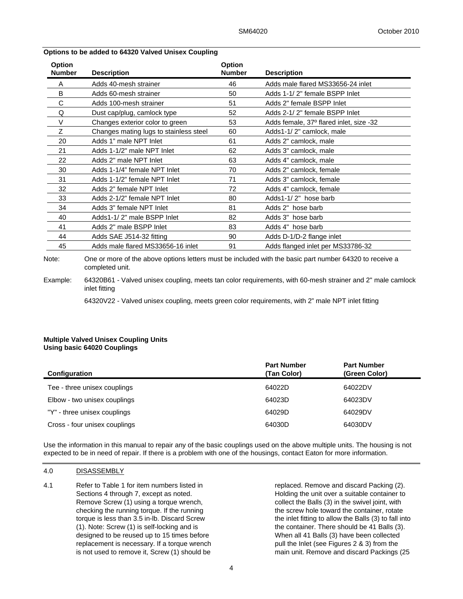| Option<br><b>Number</b> | <b>Description</b>                     | <b>Option</b><br><b>Number</b> | <b>Description</b>                      |
|-------------------------|----------------------------------------|--------------------------------|-----------------------------------------|
| A                       | Adds 40-mesh strainer                  | 46                             | Adds male flared MS33656-24 inlet       |
| B                       | Adds 60-mesh strainer                  | 50                             | Adds 1-1/2" female BSPP Inlet           |
| C                       | Adds 100-mesh strainer                 | 51                             | Adds 2" female BSPP Inlet               |
| Q                       | Dust cap/plug, camlock type            | 52                             | Adds 2-1/2" female BSPP Inlet           |
| V                       | Changes exterior color to green        | 53                             | Adds female, 37° flared inlet, size -32 |
| Ζ                       | Changes mating lugs to stainless steel | 60                             | Adds1-1/2" camlock, male                |
| 20                      | Adds 1" male NPT Inlet                 | 61                             | Adds 2" camlock, male                   |
| 21                      | Adds 1-1/2" male NPT Inlet             | 62                             | Adds 3" camlock, male                   |
| 22                      | Adds 2" male NPT Inlet                 | 63                             | Adds 4" camlock, male                   |
| 30                      | Adds 1-1/4" female NPT Inlet           | 70                             | Adds 2" camlock, female                 |
| 31                      | Adds 1-1/2" female NPT Inlet           | 71                             | Adds 3" camlock, female                 |
| 32                      | Adds 2" female NPT Inlet               | 72                             | Adds 4" camlock, female                 |
| 33                      | Adds 2-1/2" female NPT Inlet           | 80                             | Adds1-1/2" hose barb                    |
| 34                      | Adds 3" female NPT Inlet               | 81                             | Adds 2" hose barb                       |
| 40                      | Adds1-1/2" male BSPP Inlet             | 82                             | Adds 3" hose barb                       |
| 41                      | Adds 2" male BSPP Inlet                | 83                             | Adds 4" hose barb                       |
| 44                      | Adds SAE J514-32 fitting               | 90                             | Adds D-1/D-2 flange inlet               |
| 45                      | Adds male flared MS33656-16 inlet      | 91                             | Adds flanged inlet per MS33786-32       |
|                         |                                        |                                |                                         |

#### **Options to be added to 64320 Valved Unisex Coupling**

Note: One or more of the above options letters must be included with the basic part number 64320 to receive a completed unit.

Example: 64320B61 - Valved unisex coupling, meets tan color requirements, with 60-mesh strainer and 2" male camlock inlet fitting

64320V22 - Valved unisex coupling, meets green color requirements, with 2" male NPT inlet fitting

#### **Multiple Valved Unisex Coupling Units Using basic 64020 Couplings**

| Configuration                 | <b>Part Number</b><br>(Tan Color) | <b>Part Number</b><br>(Green Color) |
|-------------------------------|-----------------------------------|-------------------------------------|
| Tee - three unisex couplings  | 64022D                            | 64022DV                             |
| Elbow - two unisex couplings  | 64023D                            | 64023DV                             |
| "Y" - three unisex couplings  | 64029D                            | 64029DV                             |
| Cross - four unisex couplings | 64030D                            | 64030DV                             |

Use the information in this manual to repair any of the basic couplings used on the above multiple units. The housing is not expected to be in need of repair. If there is a problem with one of the housings, contact Eaton for more information.

#### 4.0 DISASSEMBLY

4.1 Refer to Table 1 for item numbers listed in Sections 4 through 7, except as noted. Remove Screw (1) using a torque wrench, checking the running torque. If the running torque is less than 3.5 in-lb. Discard Screw (1). Note: Screw (1) is self-locking and is designed to be reused up to 15 times before replacement is necessary. If a torque wrench is not used to remove it, Screw (1) should be

replaced. Remove and discard Packing (2). Holding the unit over a suitable container to collect the Balls (3) in the swivel joint, with the screw hole toward the container, rotate the inlet fitting to allow the Balls (3) to fall into the container. There should be 41 Balls (3). When all 41 Balls (3) have been collected pull the Inlet (see Figures 2 & 3) from the main unit. Remove and discard Packings (25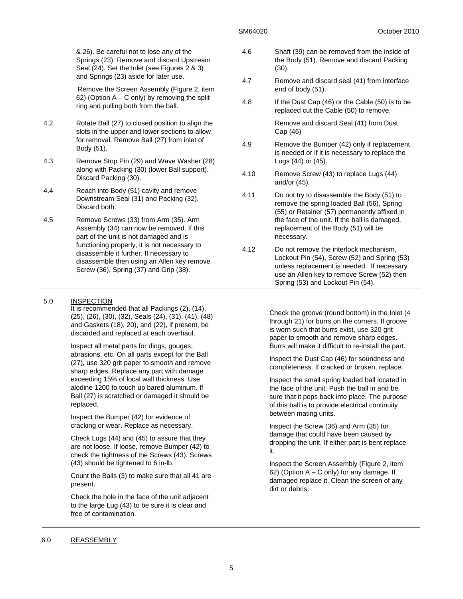& 26). Be careful not to lose any of the Springs (23). Remove and discard Upstream Seal (24). Set the Inlet (see Figures 2 & 3) and Springs (23) aside for later use.

Remove the Screen Assembly (Figure 2, item 62) (Option  $A - C$  only) by removing the split ring and pulling both from the ball.

- 4.2 Rotate Ball (27) to closed position to align the slots in the upper and lower sections to allow for removal. Remove Ball (27) from inlet of Body (51).
- 4.3 Remove Stop Pin (29) and Wave Washer (28) along with Packing (30) (lower Ball support). Discard Packing (30).
- 4.4 Reach into Body (51) cavity and remove Downstream Seal (31) and Packing (32). Discard both.
- 4.5 Remove Screws (33) from Arm (35). Arm Assembly (34) can now be removed. If this part of the unit is not damaged and is functioning properly, it is not necessary to disassemble it further. If necessary to disassemble then using an Allen key remove Screw (36), Spring (37) and Grip (38).

#### 5.0 INSPECTION

It is recommended that all Packings (2), (14), (25), (26), (30), (32), Seals (24), (31), (41), (48) and Gaskets (18), 20), and (22), if present, be discarded and replaced at each overhaul.

Inspect all metal parts for dings, gouges, abrasions, etc. On all parts except for the Ball (27), use 320 grit paper to smooth and remove sharp edges. Replace any part with damage exceeding 15% of local wall thickness. Use alodine 1200 to touch up bared aluminum. If Ball (27) is scratched or damaged it should be replaced.

Inspect the Bumper (42) for evidence of cracking or wear. Replace as necessary.

Check Lugs (44) and (45) to assure that they are not loose. If loose, remove Bumper (42) to check the tightness of the Screws (43). Screws (43) should be tightened to 6 in-lb.

Count the Balls (3) to make sure that all 41 are present.

Check the hole in the face of the unit adjacent to the large Lug (43) to be sure it is clear and free of contamination.

- 4.6 Shaft (39) can be removed from the inside of the Body (51). Remove and discard Packing (30).
- 4.7 Remove and discard seal (41) from interface end of body (51).
- 4.8 If the Dust Cap (46) or the Cable (50) is to be replaced cut the Cable (50) to remove.

 Remove and discard Seal (41) from Dust Cap (46)

- 4.9 Remove the Bumper (42) only if replacement is needed or if it is necessary to replace the Lugs (44) or (45).
- 4.10 Remove Screw (43) to replace Lugs (44) and/or (45).
- 4.11 Do not try to disassemble the Body (51) to remove the spring loaded Ball (56), Spring (55) or Retainer (57) permanently affixed in the face of the unit. If the ball is damaged, replacement of the Body (51) will be necessary.
- 4.12 Do not remove the interlock mechanism, Lockout Pin (54), Screw (52) and Spring (53) unless replacement is needed. If necessary use an Allen key to remove Screw (52) then Spring (53) and Lockout Pin (54).

Check the groove (round bottom) in the Inlet (4 through 21) for burrs on the corners. If groove is worn such that burrs exist, use 320 grit paper to smooth and remove sharp edges. Burrs will make it difficult to re-install the part.

Inspect the Dust Cap (46) for soundness and completeness. If cracked or broken, replace.

Inspect the small spring loaded ball located in the face of the unit. Push the ball in and be sure that it pops back into place. The purpose of this ball is to provide electrical continuity between mating units.

Inspect the Screw (36) and Arm (35) for damage that could have been caused by dropping the unit. If either part is bent replace it.

Inspect the Screen Assembly (Figure 2, item 62) (Option  $A - C$  only) for any damage. If damaged replace it. Clean the screen of any dirt or debris.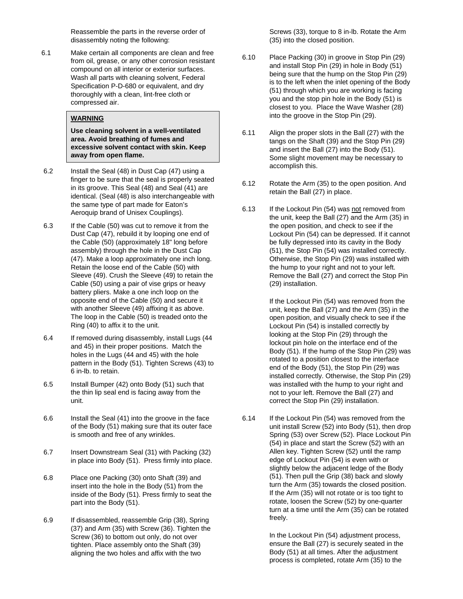Reassemble the parts in the reverse order of disassembly noting the following:

6.1 Make certain all components are clean and free from oil, grease, or any other corrosion resistant compound on all interior or exterior surfaces. Wash all parts with cleaning solvent, Federal Specification P-D-680 or equivalent, and dry thoroughly with a clean, lint-free cloth or compressed air.

## **WARNING**

**Use cleaning solvent in a well-ventilated area. Avoid breathing of fumes and excessive solvent contact with skin. Keep away from open flame.** 

- 6.2 Install the Seal (48) in Dust Cap (47) using a finger to be sure that the seal is properly seated in its groove. This Seal (48) and Seal (41) are identical. (Seal (48) is also interchangeable with the same type of part made for Eaton's Aeroquip brand of Unisex Couplings).
- 6.3 If the Cable (50) was cut to remove it from the Dust Cap (47), rebuild it by looping one end of the Cable (50) (approximately 18" long before assembly) through the hole in the Dust Cap (47). Make a loop approximately one inch long. Retain the loose end of the Cable (50) with Sleeve (49). Crush the Sleeve (49) to retain the Cable (50) using a pair of vise grips or heavy battery pliers. Make a one inch loop on the opposite end of the Cable (50) and secure it with another Sleeve (49) affixing it as above. The loop in the Cable (50) is treaded onto the Ring (40) to affix it to the unit.
- 6.4 If removed during disassembly, install Lugs (44 and 45) in their proper positions. Match the holes in the Lugs (44 and 45) with the hole pattern in the Body (51). Tighten Screws (43) to 6 in-lb. to retain.
- 6.5 Install Bumper (42) onto Body (51) such that the thin lip seal end is facing away from the unit.
- 6.6 Install the Seal (41) into the groove in the face of the Body (51) making sure that its outer face is smooth and free of any wrinkles.
- 6.7 Insert Downstream Seal (31) with Packing (32) in place into Body (51). Press firmly into place.
- 6.8 Place one Packing (30) onto Shaft (39) and insert into the hole in the Body (51) from the inside of the Body (51). Press firmly to seat the part into the Body (51).
- 6.9 If disassembled, reassemble Grip (38), Spring (37) and Arm (35) with Screw (36). Tighten the Screw (36) to bottom out only, do not over tighten. Place assembly onto the Shaft (39) aligning the two holes and affix with the two

Screws (33), torque to 8 in-lb. Rotate the Arm (35) into the closed position.

- 6.10 Place Packing (30) in groove in Stop Pin (29) and install Stop Pin (29) in hole in Body (51) being sure that the hump on the Stop Pin (29) is to the left when the inlet opening of the Body (51) through which you are working is facing you and the stop pin hole in the Body (51) is closest to you. Place the Wave Washer (28) into the groove in the Stop Pin (29).
- 6.11 Align the proper slots in the Ball (27) with the tangs on the Shaft (39) and the Stop Pin (29) and insert the Ball (27) into the Body (51). Some slight movement may be necessary to accomplish this.
- 6.12 Rotate the Arm (35) to the open position. And retain the Ball (27) in place.
- 6.13 If the Lockout Pin (54) was not removed from the unit, keep the Ball (27) and the Arm (35) in the open position, and check to see if the Lockout Pin (54) can be depressed. If it cannot be fully depressed into its cavity in the Body (51), the Stop Pin (54) was installed correctly. Otherwise, the Stop Pin (29) was installed with the hump to your right and not to your left. Remove the Ball (27) and correct the Stop Pin (29) installation.

If the Lockout Pin (54) was removed from the unit, keep the Ball (27) and the Arm (35) in the open position, and visually check to see if the Lockout Pin (54) is installed correctly by looking at the Stop Pin (29) through the lockout pin hole on the interface end of the Body (51). If the hump of the Stop Pin (29) was rotated to a position closest to the interface end of the Body (51), the Stop Pin (29) was installed correctly. Otherwise, the Stop Pin (29) was installed with the hump to your right and not to your left. Remove the Ball (27) and correct the Stop Pin (29) installation.

6.14 If the Lockout Pin (54) was removed from the unit install Screw (52) into Body (51), then drop Spring (53) over Screw (52). Place Lockout Pin (54) in place and start the Screw (52) with an Allen key. Tighten Screw (52) until the ramp edge of Lockout Pin (54) is even with or slightly below the adjacent ledge of the Body (51). Then pull the Grip (38) back and slowly turn the Arm (35) towards the closed position. If the Arm (35) will not rotate or is too tight to rotate, loosen the Screw (52) by one-quarter turn at a time until the Arm (35) can be rotated freely.

> In the Lockout Pin (54) adjustment process, ensure the Ball (27) is securely seated in the Body (51) at all times. After the adjustment process is completed, rotate Arm (35) to the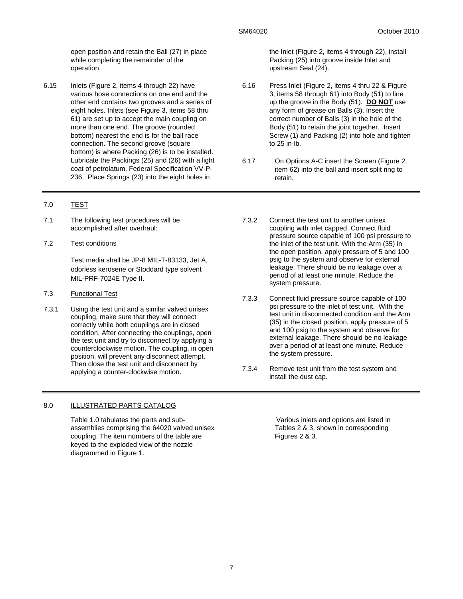open position and retain the Ball (27) in place while completing the remainder of the operation.

6.15 Inlets (Figure 2, items 4 through 22) have various hose connections on one end and the other end contains two grooves and a series of eight holes. Inlets (see Figure 3, items 58 thru 61) are set up to accept the main coupling on more than one end. The groove (rounded bottom) nearest the end is for the ball race connection. The second groove (square bottom) is where Packing (26) is to be installed. Lubricate the Packings (25) and (26) with a light coat of petrolatum, Federal Specification VV-P-236. Place Springs (23) into the eight holes in

## 7.0 TEST

- 7.1 The following test procedures will be accomplished after overhaul:
- 7.2 Test conditions

Test media shall be JP-8 MIL-T-83133, Jet A, odorless kerosene or Stoddard type solvent MIL-PRF-7024E Type II.

- 7.3 Functional Test
- 7.3.1 Using the test unit and a similar valved unisex coupling, make sure that they will connect correctly while both couplings are in closed condition. After connecting the couplings, open the test unit and try to disconnect by applying a counterclockwise motion. The coupling, in open position, will prevent any disconnect attempt. Then close the test unit and disconnect by applying a counter-clockwise motion.

#### 8.0 ILLUSTRATED PARTS CATALOG

Table 1.0 tabulates the parts and subassemblies comprising the 64020 valved unisex coupling. The item numbers of the table are keyed to the exploded view of the nozzle diagrammed in Figure 1.

the Inlet (Figure 2, items 4 through 22), install Packing (25) into groove inside Inlet and upstream Seal (24).

- 6.16 Press Inlet (Figure 2, items 4 thru 22 & Figure 3, items 58 through 61) into Body (51) to line up the groove in the Body (51). **DO NOT** use any form of grease on Balls (3). Insert the correct number of Balls (3) in the hole of the Body (51) to retain the joint together. Insert Screw (1) and Packing (2) into hole and tighten to 25 in-lb.
- 6.17 On Options A-C insert the Screen (Figure 2, item 62) into the ball and insert split ring to retain.
- 7.3.2 Connect the test unit to another unisex coupling with inlet capped. Connect fluid pressure source capable of 100 psi pressure to the inlet of the test unit. With the Arm (35) in the open position, apply pressure of 5 and 100 psig to the system and observe for external leakage. There should be no leakage over a period of at least one minute. Reduce the system pressure.
- 7.3.3 Connect fluid pressure source capable of 100 psi pressure to the inlet of test unit. With the test unit in disconnected condition and the Arm (35) in the closed position, apply pressure of 5 and 100 psig to the system and observe for external leakage. There should be no leakage over a period of at least one minute. Reduce the system pressure.
- 7.3.4 Remove test unit from the test system and install the dust cap.

Various inlets and options are listed in Tables 2 & 3, shown in corresponding Figures 2 & 3.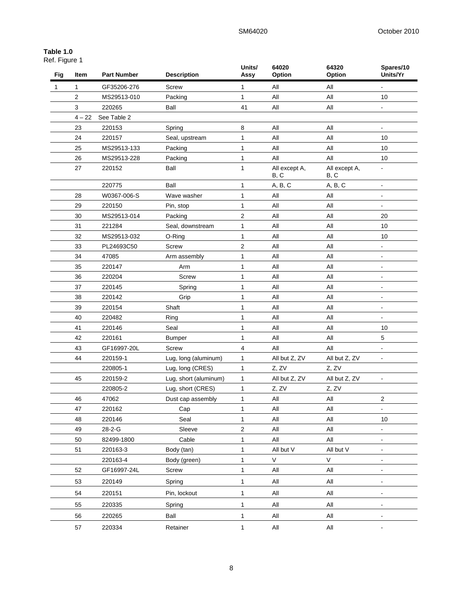## **Table 1.0**

| .             |  |
|---------------|--|
| Ref. Figure 1 |  |

| Fig | Item     | <b>Part Number</b> | <b>Description</b>    | Units/<br>Assy | 64020<br>Option       | 64320<br>Option       | Spares/10<br>Units/Yr        |
|-----|----------|--------------------|-----------------------|----------------|-----------------------|-----------------------|------------------------------|
| 1   | 1        | GF35206-276        | Screw                 | 1              | All                   | All                   | $\blacksquare$               |
|     | 2        | MS29513-010        | Packing               | $\mathbf{1}$   | All                   | All                   | 10                           |
|     | 3        | 220265             | Ball                  | 41             | All                   | All                   | $\overline{\phantom{a}}$     |
|     | $4 - 22$ | See Table 2        |                       |                |                       |                       |                              |
|     | 23       | 220153             | Spring                | 8              | All                   | All                   | $\blacksquare$               |
|     | 24       | 220157             | Seal, upstream        | 1              | All                   | All                   | 10                           |
|     | 25       | MS29513-133        | Packing               | 1              | All                   | All                   | 10                           |
|     | 26       | MS29513-228        | Packing               | 1              | All                   | All                   | 10                           |
|     | 27       | 220152             | Ball                  | 1              | All except A,<br>B, C | All except A,<br>B, C | $\blacksquare$               |
|     |          | 220775             | Ball                  | 1              | A, B, C               | A, B, C               | $\blacksquare$               |
|     | 28       | W0367-006-S        | Wave washer           | 1              | All                   | All                   |                              |
|     | 29       | 220150             | Pin, stop             | 1              | All                   | All                   |                              |
|     | 30       | MS29513-014        | Packing               | $\overline{2}$ | All                   | All                   | 20                           |
|     | 31       | 221284             | Seal, downstream      | 1              | All                   | All                   | 10                           |
|     | 32       | MS29513-032        | O-Ring                | 1              | All                   | All                   | 10                           |
|     | 33       | PL24693C50         | Screw                 | $\overline{2}$ | All                   | All                   | $\blacksquare$               |
|     | 34       | 47085              | Arm assembly          | 1              | All                   | All                   |                              |
|     | 35       | 220147             | Arm                   | 1              | All                   | All                   | $\overline{a}$               |
|     | 36       | 220204             | Screw                 | 1              | All                   | All                   |                              |
|     | 37       | 220145             | Spring                | 1              | All                   | All                   | $\blacksquare$               |
|     | 38       | 220142             | Grip                  | 1              | All                   | All                   |                              |
|     | 39       | 220154             | Shaft                 | 1              | All                   | All                   | $\blacksquare$               |
|     | 40       | 220482             | Ring                  | 1              | All                   | All                   |                              |
|     | 41       | 220146             | Seal                  | 1              | All                   | All                   | 10                           |
|     | 42       | 220161             | <b>Bumper</b>         | 1              | All                   | All                   | 5                            |
|     | 43       | GF16997-20L        | Screw                 | $\overline{4}$ | All                   | All                   |                              |
|     | 44       | 220159-1           | Lug, long (aluminum)  | $\mathbf{1}$   | All but Z, ZV         | All but Z, ZV         |                              |
|     |          | 220805-1           | Lug, long (CRES)      | $\mathbf{1}$   | Z, ZV                 | Z. ZV                 |                              |
|     | 45       | 220159-2           | Lug, short (aluminum) | 1              | All but Z, ZV         | All but Z, ZV         |                              |
|     |          | 220805-2           | Lug, short (CRES)     | $\mathbf{1}$   | Z, ZV                 | Z, ZV                 |                              |
|     | 46       | 47062              | Dust cap assembly     | $\mathbf{1}$   | All                   | All                   | 2                            |
|     | 47       | 220162             | Cap                   | 1              | All                   | All                   | $\blacksquare$               |
|     | 48       | 220146             | Seal                  | $\mathbf{1}$   | $\mathsf{All}$        | All                   | 10                           |
|     | 49       | 28-2-G             | Sleeve                | $\mathbf 2$    | All                   | All                   | $\blacksquare$               |
|     | 50       | 82499-1800         | Cable                 | 1              | All                   | All                   | $\blacksquare$               |
|     | 51       | 220163-3           | Body (tan)            | 1              | All but V             | All but V             | $\blacksquare$               |
|     |          | 220163-4           | Body (green)          | 1              | $\mathsf{V}$          | $\mathsf V$           |                              |
|     | 52       | GF16997-24L        | Screw                 | 1              | All                   | All                   | $\qquad \qquad \blacksquare$ |
|     | 53       | 220149             | Spring                | 1              | All                   | All                   | $\blacksquare$               |
|     | 54       | 220151             | Pin, lockout          | 1              | All                   | All                   | $\blacksquare$               |
|     | 55       | 220335             | Spring                | 1              | All                   | All                   | $\blacksquare$               |
|     |          |                    |                       |                |                       |                       |                              |
|     | 56       | 220265             | Ball                  | 1              | All                   | All                   | $\blacksquare$               |
|     | 57       | 220334             | Retainer              | $\mathbf{1}$   | $\mathsf{All}\xspace$ | All                   |                              |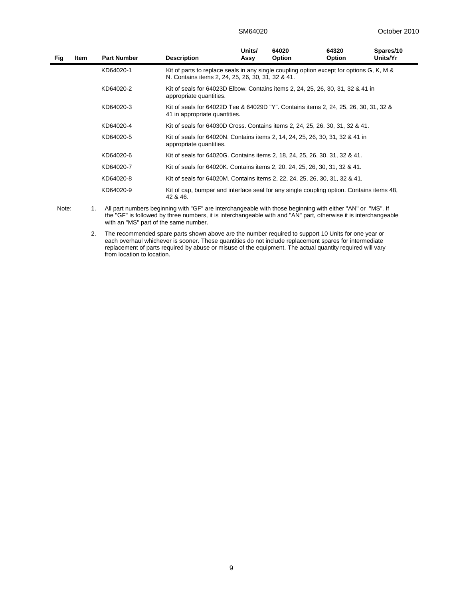| Fig | <b>Item</b> | <b>Part Number</b> | <b>Description</b>                                                                                                                            | Units/<br>Assy | 64020<br><b>Option</b> | 64320<br><b>Option</b> | Spares/10<br>Units/Yr |
|-----|-------------|--------------------|-----------------------------------------------------------------------------------------------------------------------------------------------|----------------|------------------------|------------------------|-----------------------|
|     |             | KD64020-1          | Kit of parts to replace seals in any single coupling option except for options G, K, M &<br>N. Contains items 2, 24, 25, 26, 30, 31, 32 & 41. |                |                        |                        |                       |
|     |             | KD64020-2          | Kit of seals for 64023D Elbow. Contains items 2, 24, 25, 26, 30, 31, 32 & 41 in<br>appropriate quantities.                                    |                |                        |                        |                       |
|     |             | KD64020-3          | Kit of seals for 64022D Tee & 64029D "Y". Contains items 2, 24, 25, 26, 30, 31, 32 &<br>41 in appropriate quantities.                         |                |                        |                        |                       |
|     |             | KD64020-4          | Kit of seals for 64030D Cross. Contains items 2, 24, 25, 26, 30, 31, 32 & 41.                                                                 |                |                        |                        |                       |
|     |             | KD64020-5          | Kit of seals for 64020N. Contains items 2, 14, 24, 25, 26, 30, 31, 32 & 41 in<br>appropriate quantities.                                      |                |                        |                        |                       |
|     |             | KD64020-6          | Kit of seals for 64020G. Contains items 2, 18, 24, 25, 26, 30, 31, 32 & 41.                                                                   |                |                        |                        |                       |
|     |             | KD64020-7          | Kit of seals for 64020K. Contains items 2, 20, 24, 25, 26, 30, 31, 32 & 41.                                                                   |                |                        |                        |                       |
|     |             | KD64020-8          | Kit of seals for 64020M. Contains items 2, 22, 24, 25, 26, 30, 31, 32 & 41.                                                                   |                |                        |                        |                       |
|     |             | KD64020-9          | Kit of cap, bumper and interface seal for any single coupling option. Contains items 48,<br>42 & 46.                                          |                |                        |                        |                       |

Note: 1. All part numbers beginning with "GF" are interchangeable with those beginning with either "AN" or "MS". If the "GF" is followed by three numbers, it is interchangeable with and "AN" part, otherwise it is interchangeable with an "MS" part of the same number.

2. The recommended spare parts shown above are the number required to support 10 Units for one year or each overhaul whichever is sooner. These quantities do not include replacement spares for intermediate replacement of parts required by abuse or misuse of the equipment. The actual quantity required will vary from location to location.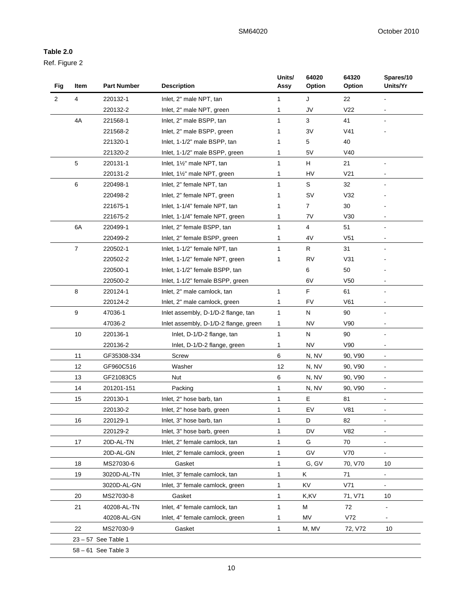## **Table 2.0**

Ref. Figure 2

| <b>Fig</b> | Item                | <b>Part Number</b> | <b>Description</b>                    | Units/<br>Assy | 64020<br>Option | 64320<br>Option | Spares/10<br>Units/Yr        |  |  |  |
|------------|---------------------|--------------------|---------------------------------------|----------------|-----------------|-----------------|------------------------------|--|--|--|
| 2          | 4                   | 220132-1           | Inlet, 2" male NPT, tan               | 1              | J               | 22              |                              |  |  |  |
|            |                     | 220132-2           | Inlet, 2" male NPT, green             | 1              | JV              | V <sub>22</sub> |                              |  |  |  |
|            | 4A                  | 221568-1           | Inlet, 2" male BSPP, tan              | 1              | 3               | 41              |                              |  |  |  |
|            |                     | 221568-2           | Inlet, 2" male BSPP, green            | 1              | 3V              | V <sub>41</sub> |                              |  |  |  |
|            |                     | 221320-1           | Inlet, 1-1/2" male BSPP, tan          | 1              | 5               | 40              |                              |  |  |  |
|            |                     | 221320-2           | Inlet, 1-1/2" male BSPP, green        | 1              | 5V              | V40             |                              |  |  |  |
|            | 5                   | 220131-1           | Inlet, 11/2" male NPT, tan            | 1              | H               | 21              |                              |  |  |  |
|            |                     | 220131-2           | Inlet, 1½" male NPT, green            | 1              | HV              | V <sub>21</sub> |                              |  |  |  |
|            | 6                   | 220498-1           | Inlet, 2" female NPT, tan             | 1              | S               | 32              |                              |  |  |  |
|            |                     | 220498-2           | Inlet, 2" female NPT, green           | 1              | SV              | V32             |                              |  |  |  |
|            |                     | 221675-1           | Inlet, 1-1/4" female NPT, tan         | 1              | 7               | 30              |                              |  |  |  |
|            |                     | 221675-2           | Inlet, 1-1/4" female NPT, green       | 1              | 7V              | V30             |                              |  |  |  |
|            | 6A                  | 220499-1           | Inlet, 2" female BSPP, tan            | 1              | 4               | 51              |                              |  |  |  |
|            |                     | 220499-2           | Inlet, 2" female BSPP, green          | 1              | 4V              | V <sub>51</sub> |                              |  |  |  |
|            | $\overline{7}$      | 220502-1           | Inlet, 1-1/2" female NPT, tan         | 1              | R               | 31              |                              |  |  |  |
|            |                     | 220502-2           | Inlet, 1-1/2" female NPT, green       | 1              | <b>RV</b>       | V31             |                              |  |  |  |
|            |                     | 220500-1           | Inlet, 1-1/2" female BSPP, tan        |                | 6               | 50              |                              |  |  |  |
|            |                     | 220500-2           | Inlet, 1-1/2" female BSPP, green      |                | 6V              | V <sub>50</sub> |                              |  |  |  |
|            | 8                   | 220124-1           | Inlet, 2" male camlock, tan           | 1              | F               | 61              |                              |  |  |  |
|            |                     | 220124-2           | Inlet, 2" male camlock, green         | 1              | FV              | V61             |                              |  |  |  |
|            | 9                   | 47036-1            | Inlet assembly, D-1/D-2 flange, tan   | 1              | Ν               | 90              |                              |  |  |  |
|            |                     | 47036-2            | Inlet assembly, D-1/D-2 flange, green | 1              | <b>NV</b>       | V90             |                              |  |  |  |
|            | 10                  | 220136-1           | Inlet, D-1/D-2 flange, tan            | 1              | N               | 90              |                              |  |  |  |
|            |                     | 220136-2           | Inlet, D-1/D-2 flange, green          | 1              | <b>NV</b>       | V90             |                              |  |  |  |
|            | 11                  | GF35308-334        | <b>Screw</b>                          | 6              | N, NV           | 90, V90         |                              |  |  |  |
|            | 12                  | GF960C516          | Washer                                | 12             | N, NV           | 90, V90         |                              |  |  |  |
|            | 13                  | GF21083C5          | Nut                                   | 6              | N, NV           | 90, V90         | $\blacksquare$               |  |  |  |
|            | 14                  | 201201-151         | Packing                               | 1              | N, NV           | 90, V90         | $\overline{\phantom{a}}$     |  |  |  |
|            | 15                  | 220130-1           | Inlet, 2" hose barb, tan              | 1              | Е               | 81              |                              |  |  |  |
|            |                     | 220130-2           | Inlet, 2" hose barb, green            | 1              | EV              | V81             | $\overline{\phantom{a}}$     |  |  |  |
|            | 16                  | 220129-1           | Inlet, 3" hose barb, tan              | 1              | D               | 82              | $\overline{\phantom{a}}$     |  |  |  |
|            |                     | 220129-2           | Inlet, 3" hose barb, green            | 1              | DV              | V82             | ÷,                           |  |  |  |
|            | 17                  | 20D-AL-TN          | Inlet, 2" female camlock, tan         | 1              | G               | 70              |                              |  |  |  |
|            |                     | 20D-AL-GN          | Inlet, 2" female camlock, green       | 1              | GV              | V70             |                              |  |  |  |
|            | 18                  | MS27030-6          | Gasket                                | 1              | G, GV           | 70, V70         | 10                           |  |  |  |
|            | 19                  |                    |                                       |                | Κ               | 71              |                              |  |  |  |
|            |                     | 3020D-AL-TN        | Inlet, 3" female camlock, tan         | 1              |                 |                 |                              |  |  |  |
|            |                     | 3020D-AL-GN        | Inlet, 3" female camlock, green       | 1              | KV<br>K,KV      | V71             |                              |  |  |  |
|            | 20                  | MS27030-8          | Gasket                                | 1              |                 | 71, V71         | 10                           |  |  |  |
|            | 21                  | 40208-AL-TN        | Inlet, 4" female camlock, tan         | 1              | M               | 72              |                              |  |  |  |
|            |                     | 40208-AL-GN        | Inlet, 4" female camlock, green       | 1              | MV              | V72             | $\qquad \qquad \blacksquare$ |  |  |  |
|            | 22                  | MS27030-9          | Gasket                                | $\mathbf{1}$   | M, MV           | 72, V72         | 10                           |  |  |  |
|            |                     | 23-57 See Table 1  |                                       |                |                 |                 |                              |  |  |  |
|            | 58 - 61 See Table 3 |                    |                                       |                |                 |                 |                              |  |  |  |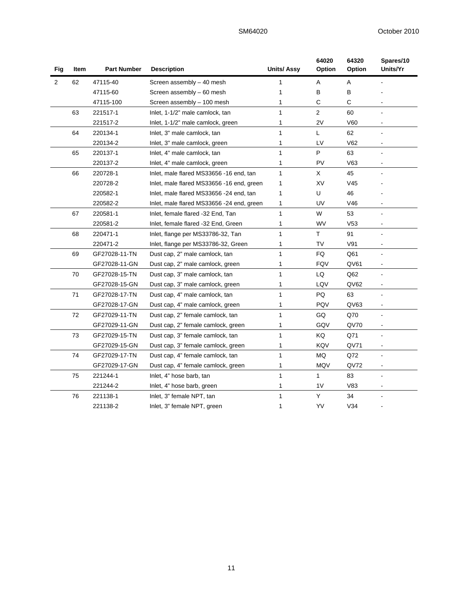| Fig            | Item | <b>Part Number</b><br><b>Description</b> |                                           | <b>Units/Assy</b> | 64020<br>Option | 64320<br>Option | Spares/10<br>Units/Yr |
|----------------|------|------------------------------------------|-------------------------------------------|-------------------|-----------------|-----------------|-----------------------|
| $\overline{2}$ | 62   | 47115-40                                 | Screen assembly - 40 mesh                 | 1                 | Α               | Α               |                       |
|                |      | 47115-60                                 | Screen assembly - 60 mesh                 | 1                 | в               | В               |                       |
|                |      | 47115-100                                | Screen assembly - 100 mesh                | 1                 | С               | С               |                       |
|                | 63   | 221517-1                                 | Inlet, 1-1/2" male camlock, tan           | $\mathbf{1}$      | $\overline{2}$  | 60              |                       |
|                |      | 221517-2                                 | Inlet, 1-1/2" male camlock, green         | 1                 | 2V              | V60             |                       |
|                | 64   | 220134-1                                 | Inlet, 3" male camlock, tan               | 1                 | Г               | 62              |                       |
|                |      | 220134-2                                 | Inlet, 3" male camlock, green             | 1                 | LV              | V62             |                       |
|                | 65   | 220137-1                                 | Inlet, 4" male camlock, tan               | $\mathbf{1}$      | P               | 63              |                       |
|                |      | 220137-2                                 | Inlet, 4" male camlock, green             | 1                 | PV              | V63             |                       |
|                | 66   | 220728-1                                 | Inlet, male flared MS33656 -16 end, tan   | $\mathbf{1}$      | X               | 45              | $\overline{a}$        |
|                |      | 220728-2                                 | Inlet, male flared MS33656 -16 end, green | 1                 | XV              | V45             |                       |
|                |      | 220582-1                                 | Inlet, male flared MS33656 -24 end, tan   | 1                 | U               | 46              |                       |
|                |      | 220582-2                                 | Inlet, male flared MS33656 -24 end, green | 1                 | UV              | V46             |                       |
|                | 67   | 220581-1                                 | Inlet, female flared -32 End, Tan         | 1                 | W               | 53              |                       |
|                |      | 220581-2                                 | Inlet, female flared -32 End, Green       | 1                 | WV              | V <sub>53</sub> |                       |
|                | 68   | 220471-1                                 | Inlet, flange per MS33786-32, Tan         | 1                 | T.              | 91              |                       |
|                |      | 220471-2                                 | Inlet, flange per MS33786-32, Green       | 1                 | TV              | V91             | $\sim$                |
|                | 69   | GF27028-11-TN                            | Dust cap, 2" male camlock, tan            | $\mathbf{1}$      | FQ              | Q61             |                       |
|                |      | GF27028-11-GN                            | Dust cap, 2" male camlock, green          | 1                 | <b>FQV</b>      | QV61            |                       |
|                | 70   | GF27028-15-TN                            | Dust cap, 3" male camlock, tan            | 1                 | LQ              | Q62             |                       |
|                |      | GF27028-15-GN                            | Dust cap, 3" male camlock, green          | 1                 | LQV             | QV62            |                       |
|                | 71   | GF27028-17-TN                            | Dust cap, 4" male camlock, tan            | $\mathbf{1}$      | PQ              | 63              |                       |
|                |      | GF27028-17-GN                            | Dust cap, 4" male camlock, green          | 1                 | PQV             | QV63            | $\blacksquare$        |
|                | 72   | GF27029-11-TN                            | Dust cap, 2" female camlock, tan          | 1                 | GQ              | Q70             |                       |
|                |      | GF27029-11-GN                            | Dust cap, 2" female camlock, green        | 1                 | GQV             | QV70            |                       |
|                | 73   | GF27029-15-TN                            | Dust cap, 3" female camlock, tan          | 1                 | KQ              | Q71             |                       |
|                |      | GF27029-15-GN                            | Dust cap, 3" female camlock, green        | 1                 | KQV             | QV71            |                       |
|                | 74   | GF27029-17-TN                            | Dust cap, 4" female camlock, tan          | $\mathbf{1}$      | MQ              | Q72             |                       |
|                |      | GF27029-17-GN                            | Dust cap, 4" female camlock, green        | 1                 | <b>MQV</b>      | QV72            | $\blacksquare$        |
|                | 75   | 221244-1                                 | Inlet, 4" hose barb, tan                  | $\mathbf{1}$      | 1               | 83              |                       |
|                |      | 221244-2                                 | Inlet, 4" hose barb, green                | 1                 | 1 <sub>V</sub>  | V83             |                       |
|                | 76   | 221138-1                                 | Inlet, 3" female NPT, tan                 | 1                 | Y               | 34              |                       |
|                |      | 221138-2                                 | Inlet, 3" female NPT, green               | 1                 | YV              | V34             |                       |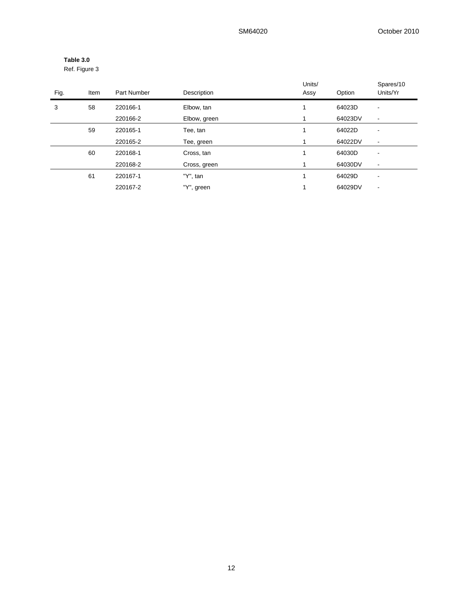| Table 3.0     |  |
|---------------|--|
| Ref. Figure 3 |  |

| Fig. | Item | Part Number | Description  | Units/<br>Assy | Option  | Spares/10<br>Units/Yr    |
|------|------|-------------|--------------|----------------|---------|--------------------------|
| 3    | 58   | 220166-1    | Elbow, tan   | 1              | 64023D  | $\overline{\phantom{a}}$ |
|      |      | 220166-2    | Elbow, green | 1              | 64023DV | $\blacksquare$           |
|      | 59   | 220165-1    | Tee, tan     | 1              | 64022D  | $\overline{\phantom{a}}$ |
|      |      | 220165-2    | Tee, green   | 4              | 64022DV | $\blacksquare$           |
|      | 60   | 220168-1    | Cross, tan   | ۸              | 64030D  | $\overline{\phantom{a}}$ |
|      |      | 220168-2    | Cross, green |                | 64030DV | $\overline{\phantom{a}}$ |
|      | 61   | 220167-1    | "Y", tan     | 4              | 64029D  | <b>.</b>                 |
|      |      | 220167-2    | "Y", green   | 1              | 64029DV | $\overline{\phantom{a}}$ |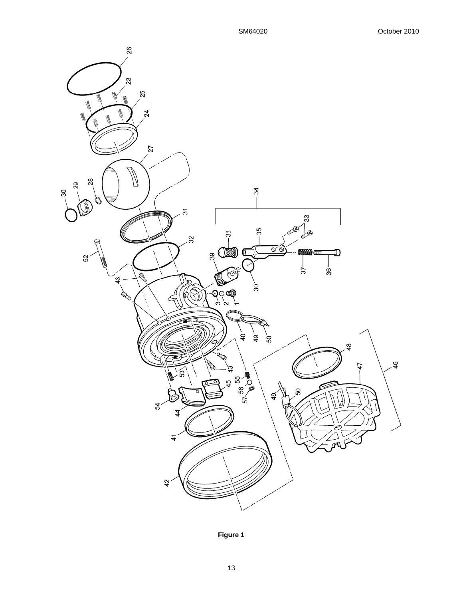

**Figure 1**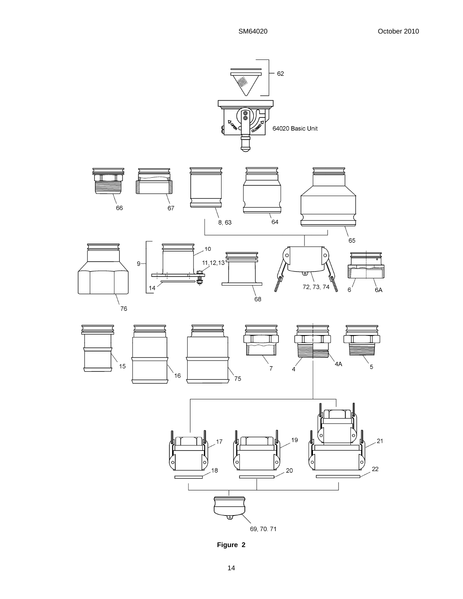

**Figure 2**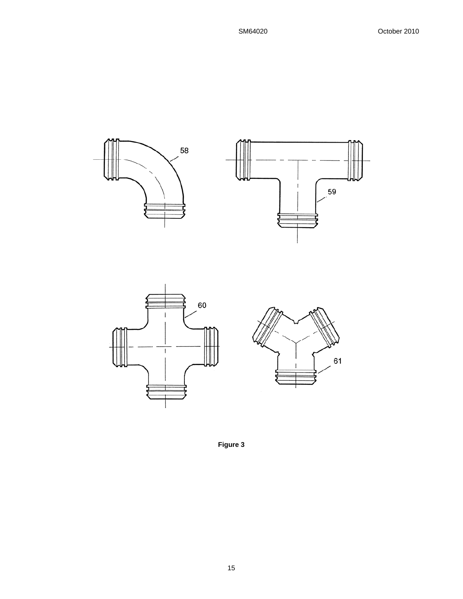





**Figure 3**